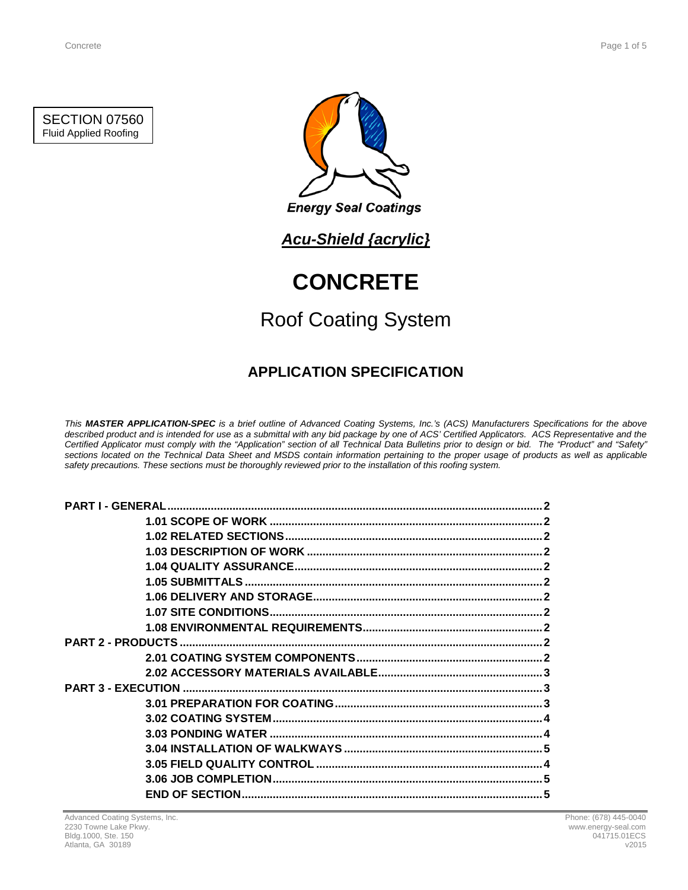SECTION 07560 Fluid Applied Roofing



# *Acu-Shield {acrylic}*

# **CONCRETE**

# Roof Coating System

# **APPLICATION SPECIFICATION**

*This MASTER APPLICATION-SPEC is a brief outline of Advanced Coating Systems, Inc.'s (ACS) Manufacturers Specifications for the above described product and is intended for use as a submittal with any bid package by one of ACS' Certified Applicators. ACS Representative and the Certified Applicator must comply with the "Application" section of all Technical Data Bulletins prior to design or bid. The "Product" and "Safety" sections located on the Technical Data Sheet and MSDS contain information pertaining to the proper usage of products as well as applicable safety precautions. These sections must be thoroughly reviewed prior to the installation of this roofing system.*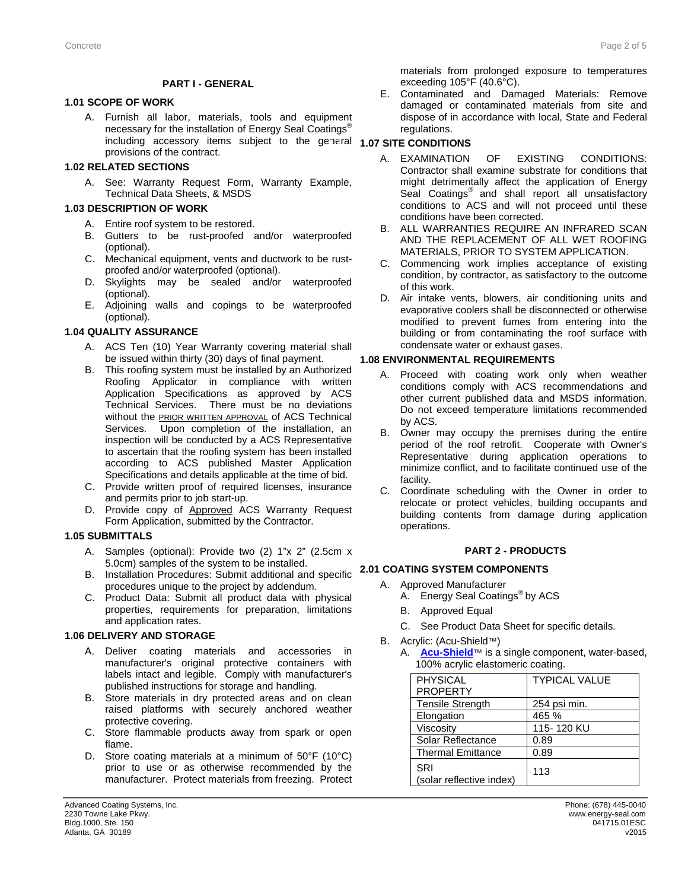### **PART I - GENERAL**

# **1.1 1.01 SCOPE OF WORK**

A. Furnish all labor, materials, tools and equipment necessary for the installation of Energy Seal Coatings<sup>®</sup> including accessory items subject to the general **1.07 SITE CONDITIONS** provisions of the contract.

## **1.2 1.02 RELATED SECTIONS**

A. See: Warranty Request Form, Warranty Example, Technical Data Sheets, & MSDS

### **1.3 1.03 DESCRIPTION OF WORK**

- A. Entire roof system to be restored.
- B. Gutters to be rust-proofed and/or waterproofed (optional).
- C. Mechanical equipment, vents and ductwork to be rustproofed and/or waterproofed (optional).
- D. Skylights may be sealed and/or waterproofed (optional).
- E. Adjoining walls and copings to be waterproofed (optional).

### **1.4 1.04 QUALITY ASSURANCE**

- A. ACS Ten (10) Year Warranty covering material shall be issued within thirty (30) days of final payment.
- B. This roofing system must be installed by an Authorized Roofing Applicator in compliance with written Application Specifications as approved by ACS Technical Services. There must be no deviations without the **PRIOR WRITTEN APPROVAL** of ACS Technical Services. Upon completion of the installation, an inspection will be conducted by a ACS Representative to ascertain that the roofing system has been installed according to ACS published Master Application Specifications and details applicable at the time of bid.
- C. Provide written proof of required licenses, insurance and permits prior to job start-up.
- D. Provide copy of Approved ACS Warranty Request Form Application, submitted by the Contractor.

### **1.5 1.05 SUBMITTALS**

- A. Samples (optional): Provide two (2) 1"x 2" (2.5cm x 5.0cm) samples of the system to be installed.
- B. Installation Procedures: Submit additional and specific **2.1 2.01 COATING SYSTEM COMPONENTS** procedures unique to the project by addendum.
- C. Product Data: Submit all product data with physical properties, requirements for preparation, limitations and application rates.

## **1.6 1.06 DELIVERY AND STORAGE**

- A. Deliver coating materials and accessories in manufacturer's original protective containers with labels intact and legible. Comply with manufacturer's published instructions for storage and handling.
- B. Store materials in dry protected areas and on clean raised platforms with securely anchored weather protective covering.
- C. Store flammable products away from spark or open flame.
- D. Store coating materials at a minimum of 50°F (10°C) prior to use or as otherwise recommended by the manufacturer. Protect materials from freezing. Protect

materials from prolonged exposure to temperatures exceeding 105°F (40.6°C).

E. Contaminated and Damaged Materials: Remove damaged or contaminated materials from site and dispose of in accordance with local, State and Federal regulations.

- A. EXAMINATION OF EXISTING CONDITIONS: Contractor shall examine substrate for conditions that might detrimentally affect the application of Energy Seal Coatings<sup>®</sup> and shall report all unsatisfactory conditions to ACS and will not proceed until these conditions have been corrected.
- B. ALL WARRANTIES REQUIRE AN INFRARED SCAN AND THE REPLACEMENT OF ALL WET ROOFING MATERIALS, PRIOR TO SYSTEM APPLICATION.
- C. Commencing work implies acceptance of existing condition, by contractor, as satisfactory to the outcome of this work.
- D. Air intake vents, blowers, air conditioning units and evaporative coolers shall be disconnected or otherwise modified to prevent fumes from entering into the building or from contaminating the roof surface with condensate water or exhaust gases.

### **1.8 1.08 ENVIRONMENTAL REQUIREMENTS**

- A. Proceed with coating work only when weather conditions comply with ACS recommendations and other current published data and MSDS information. Do not exceed temperature limitations recommended by ACS.
- B. Owner may occupy the premises during the entire period of the roof retrofit. Cooperate with Owner's Representative during application operations to minimize conflict, and to facilitate continued use of the facility.
- C. Coordinate scheduling with the Owner in order to relocate or protect vehicles, building occupants and building contents from damage during application operations.

### **2 PART 2 - PRODUCTS**

- A. Approved Manufacturer
	- A. Energy Seal Coatings® by ACS
	- B. Approved Equal
	- C. See Product Data Sheet for specific details.
- B. Acrylic: (Acu-Shield™)
	- A. **[Acu-Shield](http://www.energy-seal.com/UserDyn/ACS/pdfs/acu-shield.pdf)**™ is a single component, water-based, 100% acrylic elastomeric coating.

| <b>PHYSICAL</b>                 | <b>TYPICAL VALUE</b> |
|---------------------------------|----------------------|
| <b>PROPERTY</b>                 |                      |
| <b>Tensile Strength</b>         | 254 psi min.         |
| Elongation                      | 465 %                |
| Viscosity                       | 115-120 KU           |
| Solar Reflectance               | 0.89                 |
| <b>Thermal Emittance</b>        | 0.89                 |
| SRI<br>(solar reflective index) | 113                  |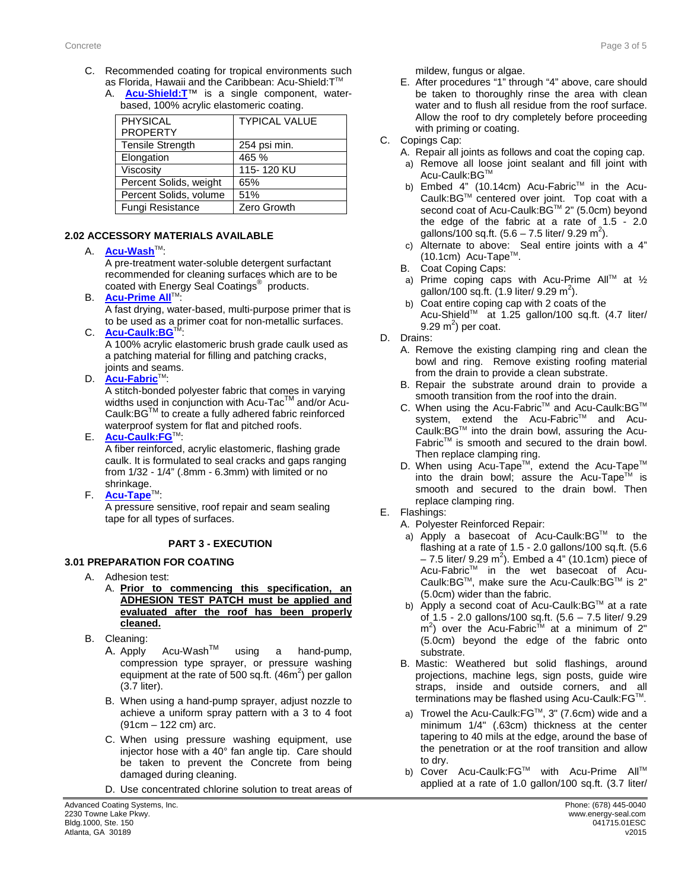- C. Recommended coating for tropical environments such as Florida, Hawaii and the Caribbean: Acu-Shield: T™
	- A. **[Acu-Shield:T](http://www.energy-seal.com/UserDyn/ACS/pdfs/acu-shield-t.pdf)**™ is a single component, waterbased, 100% acrylic elastomeric coating.

| <b>PHYSICAL</b><br><b>PROPERTY</b> | <b>TYPICAL VALUE</b> |
|------------------------------------|----------------------|
| <b>Tensile Strength</b>            | 254 psi min.         |
| Elongation                         | 465 %                |
| Viscosity                          | 115-120 KU           |
| Percent Solids, weight             | 65%                  |
| Percent Solids, volume             | 51%                  |
| Fungi Resistance                   | Zero Growth          |

# **2.2 2.02 ACCESSORY MATERIALS AVAILABLE**

## A. **[Acu-Wash](http://www.energy-seal.com/UserDyn/ACS/pdfs/acu-wash.pdf)™:**

A pre-treatment water-soluble detergent surfactant recommended for cleaning surfaces which are to be coated with Energy Seal Coatings® products.

**B. [Acu-Prime](http://www.energy-seal.com/UserDyn/ACS/pdfs/acu-prime%20all.pdf) All**™:

A fast drying, water-based, multi-purpose primer that is to be used as a primer coat for non-metallic surfaces.

C. **[Acu-Caulk:BG](http://www.energy-seal.com/UserDyn/ACS/pdfs/acu-caulk_bg.pdf)™** 

A 100% acrylic elastomeric brush grade caulk used as a patching material for filling and patching cracks, joints and seams.

D. **[Acu-Fabric](http://www.energy-seal.com/UserDyn/ACS/pdfs/acu-fabric-sb.pdf)**™:

A stitch-bonded polyester fabric that comes in varying widths used in conjunction with Acu-Tac<sup>TM</sup> and/or Acu-Caulk:BGTM to create a fully adhered fabric reinforced waterproof system for flat and pitched roofs.

E. **[Acu-Caulk:FG](http://www.energy-seal.com/UserDyn/ACS/pdfs/acu-caulk_fg.pdf)**TM:

A fiber reinforced, acrylic elastomeric, flashing grade caulk. It is formulated to seal cracks and gaps ranging from 1/32 - 1/4" (.8mm - 6.3mm) with limited or no shrinkage.

F. **[Acu-Tape](http://www.energy-seal.com/UserDyn/ACS/pdfs/acu-tape.pdf)**TM:

A pressure sensitive, roof repair and seam sealing tape for all types of surfaces.

# **3 PART 3 - EXECUTION**

# **3.1 3.01 PREPARATION FOR COATING**

- A. Adhesion test:
	- A. **Prior to commencing this specification, an ADHESION TEST PATCH must be applied and evaluated after the roof has been properly cleaned.**
- B. Cleaning:
	- A. Apply  $Acu-Wash^{TM}$  using a hand-pump, compression type sprayer, or pressure washing equipment at the rate of 500 sq.ft.  $(46m^2)$  per gallon (3.7 liter).
	- B. When using a hand-pump sprayer, adjust nozzle to achieve a uniform spray pattern with a 3 to 4 foot (91cm – 122 cm) arc.
	- C. When using pressure washing equipment, use injector hose with a 40° fan angle tip. Care should be taken to prevent the Concrete from being damaged during cleaning.
	- D. Use concentrated chlorine solution to treat areas of

mildew, fungus or algae.

- E. After procedures "1" through "4" above, care should be taken to thoroughly rinse the area with clean water and to flush all residue from the roof surface. Allow the roof to dry completely before proceeding with priming or coating.
- C. Copings Cap:
	- A. Repair all joints as follows and coat the coping cap.
	- a) Remove all loose joint sealant and fill joint with Acu-Caulk:BG™
	- b) Embed 4" (10.14cm) Acu-Fabric<sup>™</sup> in the Acu-Caulk:BG™ centered over joint. Top coat with a second coat of Acu-Caulk:BG™ 2" (5.0cm) beyond the edge of the fabric at a rate of 1.5 - 2.0 gallons/100 sq.ft.  $(5.6 - 7.5$  liter/ 9.29 m<sup>2</sup>).
	- c) Alternate to above: Seal entire joints with a 4"  $(10.1cm)$  Acu-Tape<sup>TM</sup>.
	- B. Coat Coping Caps:
	- a) Prime coping caps with Acu-Prime All<sup>™</sup> at  $\frac{1}{2}$ gallon/100 sq.ft.  $(1.9 \text{ liter/ } 9.29 \text{ m}^2)$ .
	- b) Coat entire coping cap with 2 coats of the  $\text{Acu-Shield}^{\text{TM}}$  at 1.25 gallon/100 sq.ft. (4.7 liter/ 9.29 m<sup>2</sup>) per coat.
- D. Drains:
	- A. Remove the existing clamping ring and clean the bowl and ring. Remove existing roofing material from the drain to provide a clean substrate.
	- B. Repair the substrate around drain to provide a smooth transition from the roof into the drain.
	- C. When using the Acu-Fabric™ and Acu-Caulk:BG™ system, extend the Acu-Fabric™ and Acu-Caulk:BG™ into the drain bowl, assuring the Acu-Fabric™ is smooth and secured to the drain bowl. Then replace clamping ring.
	- D. When using Acu-Tape™, extend the Acu-Tape™ into the drain bowl; assure the Acu-Tape<sup>TM</sup> is smooth and secured to the drain bowl. Then replace clamping ring.
- E. Flashings:
	- A. Polyester Reinforced Repair:
	- a) Apply a basecoat of Acu-Caulk: BG™ to the flashing at a rate of 1.5 - 2.0 gallons/100 sq.ft. (5.6  $-7.5$  liter/ 9.29 m<sup>2</sup>). Embed a 4" (10.1cm) piece of Acu-Fabric<sup>™</sup> in the wet basecoat of Acu-Caulk: $BG^{\mathsf{TM}}$ , make sure the Acu-Caulk: $BG^{\mathsf{TM}}$  is 2" (5.0cm) wider than the fabric.
	- b) Apply a second coat of Acu-Caulk: BG™ at a rate of 1.5 - 2.0 gallons/100 sq.ft. (5.6 – 7.5 liter/ 9.29  $m<sup>2</sup>$ ) over the Acu-Fabric<sup>tM</sup> at a minimum of 2" (5.0cm) beyond the edge of the fabric onto substrate.
	- B. Mastic: Weathered but solid flashings, around projections, machine legs, sign posts, guide wire straps, inside and outside corners, and all terminations may be flashed using Acu-Caulk:FG™.
	- a) Trowel the Acu-Caulk:  $FG<sup>™</sup>$ , 3" (7.6cm) wide and a minimum 1/4" (.63cm) thickness at the center tapering to 40 mils at the edge, around the base of the penetration or at the roof transition and allow to dry.
	- b) Cover Acu-Caulk:FG™ with Acu-Prime All™ applied at a rate of 1.0 gallon/100 sq.ft. (3.7 liter/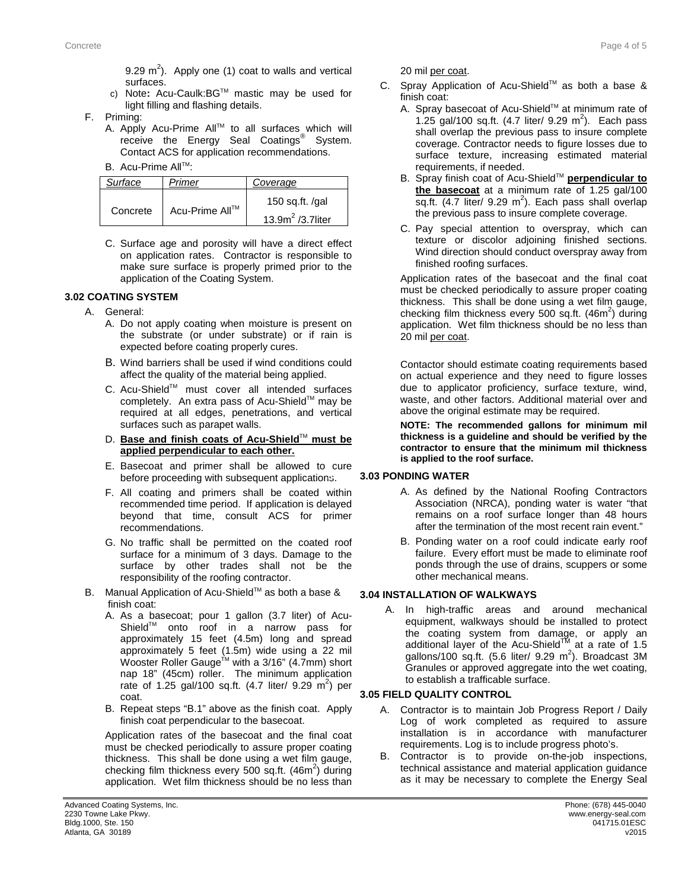- c) Note**:** Acu-Caulk:BGTM mastic may be used for light filling and flashing details.
- F. Priming:
	- A. Apply Acu-Prime All™ to all surfaces which will receive the Energy Seal Coatings<sup>®</sup> System. Contact ACS for application recommendations.
	- B. Acu-Prime All™:

| Surface                    | Primer            | Coverage             |
|----------------------------|-------------------|----------------------|
| Acu-Prime All™<br>Concrete | 150 sq.ft. $/gal$ |                      |
|                            |                   | 13.9 $m^2$ /3.7liter |

C. Surface age and porosity will have a direct effect on application rates. Contractor is responsible to make sure surface is properly primed prior to the application of the Coating System.

# **3.2 3.02 COATING SYSTEM**

- A. General:
	- A. Do not apply coating when moisture is present on the substrate (or under substrate) or if rain is expected before coating properly cures.
	- B. Wind barriers shall be used if wind conditions could affect the quality of the material being applied.
	- C. Acu-Shield™ must cover all intended surfaces completely. An extra pass of Acu-Shield™ may be required at all edges, penetrations, and vertical surfaces such as parapet walls.
	- D. **Base and finish coats of Acu-Shield™ must be applied perpendicular to each other.**
	- E. Basecoat and primer shall be allowed to cure before proceeding with subsequent applications.
	- F. All coating and primers shall be coated within recommended time period. If application is delayed beyond that time, consult ACS for primer recommendations.
	- G. No traffic shall be permitted on the coated roof surface for a minimum of 3 days. Damage to the surface by other trades shall not be the responsibility of the roofing contractor.
- B. Manual Application of Acu-Shield™ as both a base & finish coat:
	- A. As a basecoat; pour 1 gallon (3.7 liter) of Acu-Shield<sup>™</sup> onto roof in a narrow pass for approximately 15 feet (4.5m) long and spread approximately 5 feet (1.5m) wide using a 22 mil Wooster Roller Gauge<sup>TM</sup> with a 3/16" (4.7mm) short nap 18" (45cm) roller. The minimum application rate of 1.25 gal/100 sq.ft.  $(4.7 \text{ liter/ } 9.29 \text{ m}^2)$  per coat.
	- B. Repeat steps "B.1" above as the finish coat. Apply finish coat perpendicular to the basecoat.

Application rates of the basecoat and the final coat must be checked periodically to assure proper coating thickness. This shall be done using a wet film gauge, checking film thickness every 500 sq.ft.  $(46m^2)$  during application. Wet film thickness should be no less than 20 mil per coat.

- C. Spray Application of Acu-Shield™ as both a base & finish coat:
	- A. Spray basecoat of Acu-Shield™ at minimum rate of 1.25 gal/100 sq.ft.  $(4.7 \text{ liter/ } 9.29 \text{ m}^2)$ . Each pass shall overlap the previous pass to insure complete coverage. Contractor needs to figure losses due to surface texture, increasing estimated material requirements, if needed.
	- B. Spray finish coat of Acu-Shield<sup>™</sup> **perpendicular to the basecoat** at a minimum rate of 1.25 gal/100 sq.ft.  $(4.7$  liter/ 9.29 m<sup>2</sup>). Each pass shall overlap the previous pass to insure complete coverage.
	- C. Pay special attention to overspray, which can texture or discolor adjoining finished sections. Wind direction should conduct overspray away from finished roofing surfaces.

Application rates of the basecoat and the final coat must be checked periodically to assure proper coating thickness. This shall be done using a wet film gauge, checking film thickness every 500 sq.ft.  $(46m^2)$  during application. Wet film thickness should be no less than 20 mil per coat.

Contactor should estimate coating requirements based on actual experience and they need to figure losses due to applicator proficiency, surface texture, wind, waste, and other factors. Additional material over and above the original estimate may be required.

**NOTE: The recommended gallons for minimum mil thickness is a guideline and should be verified by the contractor to ensure that the minimum mil thickness is applied to the roof surface.** 

# **3.3 3.03 PONDING WATER**

- A. As defined by the National Roofing Contractors Association (NRCA), ponding water is water "that remains on a roof surface longer than 48 hours after the termination of the most recent rain event."
- B. Ponding water on a roof could indicate early roof failure. Every effort must be made to eliminate roof ponds through the use of drains, scuppers or some other mechanical means.

# **3.04 INSTALLATION OF WALKWAYS**

A. In high-traffic areas and around mechanical equipment, walkways should be installed to protect the coating system from damage, or apply an additional layer of the Acu-Shield<sup> $M$ </sup> at a rate of 1.5 gallons/100 sq.ft.  $(5.6$  liter/ 9.29 m<sup>2</sup>). Broadcast 3M Granules or approved aggregate into the wet coating, to establish a trafficable surface.

# **3.4 3.05 FIELD QUALITY CONTROL**

- A. Contractor is to maintain Job Progress Report / Daily Log of work completed as required to assure installation is in accordance with manufacturer requirements. Log is to include progress photo's.
- B. Contractor is to provide on-the-job inspections, technical assistance and material application guidance as it may be necessary to complete the Energy Seal